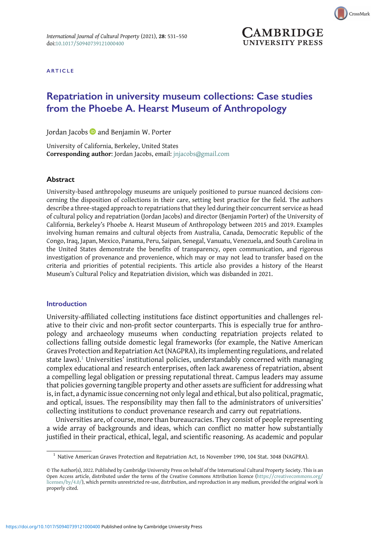

CrossMark

ARTICLE

# Repatriation in university museum collections: Case studies from the Phoebe A. Hearst Museum of Anthropology

Jordan Jacobs and Benjamin W. Porter

University of California, Berkeley, United States Corresponding author: Jordan Jacobs, email: [jnjacobs@gmail.com](mailto:jnjacobs@gmail.com)

#### **Abstract**

University-based anthropology museums are uniquely positioned to pursue nuanced decisions concerning the disposition of collections in their care, setting best practice for the field. The authors describe a three-staged approach to repatriations that they led during their concurrent service as head of cultural policy and repatriation (Jordan Jacobs) and director (Benjamin Porter) of the University of California, Berkeley's Phoebe A. Hearst Museum of Anthropology between 2015 and 2019. Examples involving human remains and cultural objects from Australia, Canada, Democratic Republic of the Congo, Iraq, Japan, Mexico, Panama, Peru, Saipan, Senegal, Vanuatu, Venezuela, and South Carolina in the United States demonstrate the benefits of transparency, open communication, and rigorous investigation of provenance and provenience, which may or may not lead to transfer based on the criteria and priorities of potential recipients. This article also provides a history of the Hearst Museum's Cultural Policy and Repatriation division, which was disbanded in 2021.

## Introduction

University-affiliated collecting institutions face distinct opportunities and challenges relative to their civic and non-profit sector counterparts. This is especially true for anthropology and archaeology museums when conducting repatriation projects related to collections falling outside domestic legal frameworks (for example, the Native American Graves Protection and Repatriation Act (NAGPRA), its implementing regulations, and related state laws).<sup>1</sup> Universities' institutional policies, understandably concerned with managing complex educational and research enterprises, often lack awareness of repatriation, absent a compelling legal obligation or pressing reputational threat. Campus leaders may assume that policies governing tangible property and other assets are sufficient for addressing what is, in fact, a dynamic issue concerning not only legal and ethical, but also political, pragmatic, and optical, issues. The responsibility may then fall to the administrators of universities' collecting institutions to conduct provenance research and carry out repatriations.

Universities are, of course, more than bureaucracies. They consist of people representing a wide array of backgrounds and ideas, which can conflict no matter how substantially justified in their practical, ethical, legal, and scientific reasoning. As academic and popular

 $1$  Native American Graves Protection and Repatriation Act, 16 November 1990, 104 Stat. 3048 (NAGPRA).

<sup>©</sup> The Author(s), 2022. Published by Cambridge University Press on behalf of the International Cultural Property Society. This is an Open Access article, distributed under the terms of the Creative Commons Attribution licence ([https://creativecommons.org/](https://creativecommons.org/licenses/by/4.0/) [licenses/by/4.0/](https://creativecommons.org/licenses/by/4.0/)), which permits unrestricted re-use, distribution, and reproduction in any medium, provided the original work is properly cited.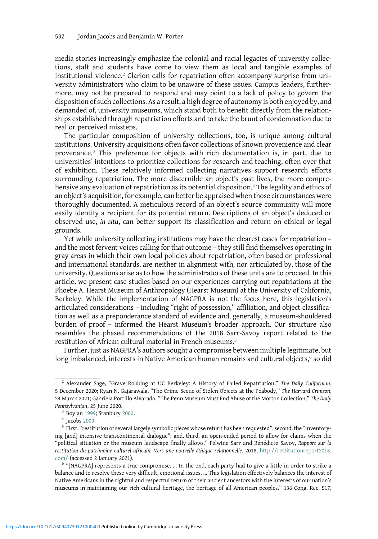media stories increasingly emphasize the colonial and racial legacies of university collections, staff and students have come to view them as local and tangible examples of institutional violence.<sup>2</sup> Clarion calls for repatriation often accompany surprise from university administrators who claim to be unaware of these issues. Campus leaders, furthermore, may not be prepared to respond and may point to a lack of policy to govern the disposition of such collections. As a result, a high degree of autonomy is both enjoyed by, and demanded of, university museums, which stand both to benefit directly from the relationships established through repatriation efforts and to take the brunt of condemnation due to real or perceived missteps.

The particular composition of university collections, too, is unique among cultural institutions. University acquisitions often favor collections of known provenience and clear provenance.<sup>3</sup> This preference for objects with rich documentation is, in part, due to universities' intentions to prioritize collections for research and teaching, often over that of exhibition. These relatively informed collecting narratives support research efforts surrounding repatriation. The more discernible an object's past lives, the more comprehensive any evaluation of repatriation as its potential disposition.<sup>4</sup> The legality and ethics of an object's acquisition, for example, can better be appraised when those circumstances were thoroughly documented. A meticulous record of an object's source community will more easily identify a recipient for its potential return. Descriptions of an object's deduced or observed use, in situ, can better support its classification and return on ethical or legal grounds.

Yet while university collecting institutions may have the clearest cases for repatriation – and the most fervent voices calling for that outcome – they still find themselves operating in gray areas in which their own local policies about repatriation, often based on professional and international standards, are neither in alignment with, nor articulated by, those of the university. Questions arise as to how the administrators of these units are to proceed. In this article, we present case studies based on our experiences carrying out repatriations at the Phoebe A. Hearst Museum of Anthropology (Hearst Museum) at the University of California, Berkeley. While the implementation of NAGPRA is not the focus here, this legislation's articulated considerations – including "right of possession," affiliation, and object classification as well as a preponderance standard of evidence and, generally, a museum-shouldered burden of proof – informed the Hearst Museum's broader approach. Our structure also resembles the phased recommendations of the 2018 Sarr-Savoy report related to the restitution of African cultural material in French museums.<sup>5</sup>

Further, just as NAGPRA's authors sought a compromise between multiple legitimate, but long imbalanced, interests in Native American human remains and cultural objects,<sup>6</sup> so did

<sup>&</sup>lt;sup>2</sup> Alexander Sage, "Grave Robbing at UC Berkeley: A History of Failed Repatriation," The Daily Californian, 5 December 2020; Ryan N. Gajarawala, "The Crime Scene of Stolen Objects at the Peabody," The Harvard Crimson, 24 March 2021; Gabriela Portillo Alvarado, "The Penn Museum Must End Abuse of the Morton Collection," The Daily Pennsylvanian, 25 June 2020.<br><sup>3</sup> Boylan [1999;](#page-18-0) Stanbury [2000](#page-19-0).<br><sup>4</sup> Jacobs [2009.](#page-18-0)<br><sup>5</sup> First, "restitution of several largely symbolic pieces whose return has been requested"; second, the "inventory-

ing [and] intensive transcontinental dialogue"; and, third, an open-ended period to allow for claims when the "political situation or the museum landscape finally allows." Felwine Sarr and Bénédicte Savoy, Rapport sur la restitution du patrimoine culturel africain. Vers une nouvelle éthique relationnelle, 2018, [http://restitutionreport2018.](http://restitutionreport2018.com/) [com/](http://restitutionreport2018.com/) (accessed 2 January 2021). <sup>6</sup> "[NAGPRA] represents a true compromise. … In the end, each party had to give a little in order to strike a

balance and to resolve these very difficult, emotional issues. … This legislation effectively balances the interest of Native Americans in the rightful and respectful return of their ancient ancestors with the interests of our nation's museums in maintaining our rich cultural heritage, the heritage of all American peoples." 136 Cong. Rec. S17,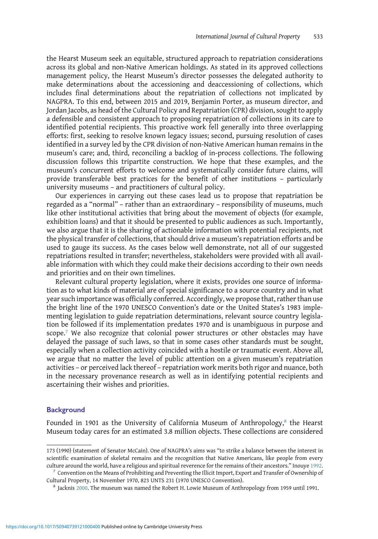the Hearst Museum seek an equitable, structured approach to repatriation considerations across its global and non-Native American holdings. As stated in its approved collections management policy, the Hearst Museum's director possesses the delegated authority to make determinations about the accessioning and deaccessioning of collections, which includes final determinations about the repatriation of collections not implicated by NAGPRA. To this end, between 2015 and 2019, Benjamin Porter, as museum director, and Jordan Jacobs, as head of the Cultural Policy and Repatriation (CPR) division, sought to apply a defensible and consistent approach to proposing repatriation of collections in its care to identified potential recipients. This proactive work fell generally into three overlapping efforts: first, seeking to resolve known legacy issues; second, pursuing resolution of cases identified in a survey led by the CPR division of non-Native American human remains in the museum's care; and, third, reconciling a backlog of in-process collections. The following discussion follows this tripartite construction. We hope that these examples, and the museum's concurrent efforts to welcome and systematically consider future claims, will provide transferable best practices for the benefit of other institutions – particularly university museums – and practitioners of cultural policy.

Our experiences in carrying out these cases lead us to propose that repatriation be regarded as a "normal" – rather than an extraordinary – responsibility of museums, much like other institutional activities that bring about the movement of objects (for example, exhibition loans) and that it should be presented to public audiences as such. Importantly, we also argue that it is the sharing of actionable information with potential recipients, not the physical transfer of collections, that should drive a museum's repatriation efforts and be used to gauge its success. As the cases below well demonstrate, not all of our suggested repatriations resulted in transfer; nevertheless, stakeholders were provided with all available information with which they could make their decisions according to their own needs and priorities and on their own timelines.

Relevant cultural property legislation, where it exists, provides one source of information as to what kinds of material are of special significance to a source country and in what year such importance was officially conferred. Accordingly, we propose that, rather than use the bright line of the 1970 UNESCO Convention's date or the United States's 1983 implementing legislation to guide repatriation determinations, relevant source country legislation be followed if its implementation predates 1970 and is unambiguous in purpose and scope.7 We also recognize that colonial power structures or other obstacles may have delayed the passage of such laws, so that in some cases other standards must be sought, especially when a collection activity coincided with a hostile or traumatic event. Above all, we argue that no matter the level of public attention on a given museum's repatriation activities – or perceived lack thereof – repatriation work merits both rigor and nuance, both in the necessary provenance research as well as in identifying potential recipients and ascertaining their wishes and priorities.

## **Background**

Founded in 1901 as the University of California Museum of Anthropology, $^8$  the Hearst Museum today cares for an estimated 3.8 million objects. These collections are considered

<sup>173 (1990) (</sup>statement of Senator McCain). One of NAGPRA's aims was "to strike a balance between the interest in scientific examination of skeletal remains and the recognition that Native Americans, like people from every culture around the world, have a religious and spiritual reverence for the remains of their ancestors." Inouye [1992.](#page-18-0)<br><sup>7</sup> Convention on the Means of Prohibiting and Preventing the Illicit Import, Export and Transfer of Owne

Cultural Property, 14 November 1970, 823 UNTS 231 (1970 UNESCO Convention). <sup>8</sup> Jacknis [2000.](#page-19-0) The museum was named the Robert H. Lowie Museum of Anthropology from 1959 until 1991.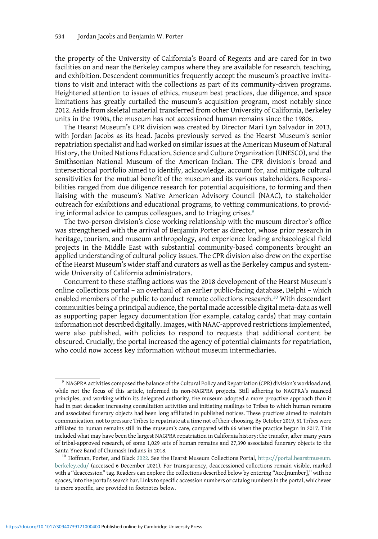the property of the University of California's Board of Regents and are cared for in two facilities on and near the Berkeley campus where they are available for research, teaching, and exhibition. Descendent communities frequently accept the museum's proactive invitations to visit and interact with the collections as part of its community-driven programs. Heightened attention to issues of ethics, museum best practices, due diligence, and space limitations has greatly curtailed the museum's acquisition program, most notably since 2012. Aside from skeletal material transferred from other University of California, Berkeley units in the 1990s, the museum has not accessioned human remains since the 1980s.

The Hearst Museum's CPR division was created by Director Mari Lyn Salvador in 2013, with Jordan Jacobs as its head. Jacobs previously served as the Hearst Museum's senior repatriation specialist and had worked on similar issues at the American Museum of Natural History, the United Nations Education, Science and Culture Organization (UNESCO), and the Smithsonian National Museum of the American Indian. The CPR division's broad and intersectional portfolio aimed to identify, acknowledge, account for, and mitigate cultural sensitivities for the mutual benefit of the museum and its various stakeholders. Responsibilities ranged from due diligence research for potential acquisitions, to forming and then liaising with the museum's Native American Advisory Council (NAAC), to stakeholder outreach for exhibitions and educational programs, to vetting communications, to providing informal advice to campus colleagues, and to triaging crises.<sup>9</sup>

The two-person division's close working relationship with the museum director's office was strengthened with the arrival of Benjamin Porter as director, whose prior research in heritage, tourism, and museum anthropology, and experience leading archaeological field projects in the Middle East with substantial community-based components brought an applied understanding of cultural policy issues. The CPR division also drew on the expertise of the Hearst Museum's wider staff and curators as well as the Berkeley campus and systemwide University of California administrators.

Concurrent to these staffing actions was the 2018 development of the Hearst Museum's online collections portal – an overhaul of an earlier public-facing database, Delphi – which enabled members of the public to conduct remote collections research.<sup>10</sup> With descendant communities being a principal audience, the portal made accessible digital meta-data as well as supporting paper legacy documentation (for example, catalog cards) that may contain information not described digitally. Images, with NAAC-approved restrictions implemented, were also published, with policies to respond to requests that additional content be obscured. Crucially, the portal increased the agency of potential claimants for repatriation, who could now access key information without museum intermediaries.

<sup>9</sup> NAGPRA activities composed the balance of the Cultural Policy and Repatriation (CPR) division's workload and, while not the focus of this article, informed its non-NAGPRA projects. Still adhering to NAGPRA's nuanced principles, and working within its delegated authority, the museum adopted a more proactive approach than it had in past decades: increasing consultation activities and initiating mailings to Tribes to which human remains and associated funerary objects had been long affiliated in published notices. These practices aimed to maintain communication, not to pressure Tribes to repatriate at a time not of their choosing. By October 2019, 51 Tribes were affiliated to human remains still in the museum's care, compared with 66 when the practice began in 2017. This included what may have been the largest NAGPRA repatriation in California history: the transfer, after many years of tribal-approved research, of some 1,029 sets of human remains and 27,390 associated funerary objects to the Santa Ynez Band of Chumash Indians in 2018.<br><sup>10</sup> Hoffman, Porter, and Black [2022](#page-18-0). See the Hearst Museum Collections Portal, [https://portal.hearstmuseum.](https://portal.hearstmuseum.berkeley.edu/)

[berkeley.edu/](https://portal.hearstmuseum.berkeley.edu/) (accessed 6 December 2021). For transparency, deaccessioned collections remain visible, marked with a "deaccession" tag. Readers can explore the collections described below by entering "Acc.[number]," with no spaces, into the portal's search bar. Links to specific accession numbers or catalog numbers in the portal, whichever is more specific, are provided in footnotes below.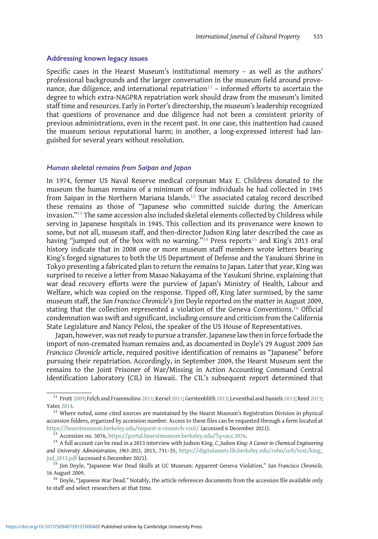#### Addressing known legacy issues

Specific cases in the Hearst Museum's institutional memory – as well as the authors' professional backgrounds and the larger conversation in the museum field around provenance, due diligence, and international repatriation<sup>11</sup> – informed efforts to ascertain the degree to which extra-NAGPRA repatriation work should draw from the museum's limited staff time and resources. Early in Porter's directorship, the museum's leadership recognized that questions of provenance and due diligence had not been a consistent priority of previous administrations, even in the recent past. In one case, this inattention had caused the museum serious reputational harm; in another, a long-expressed interest had languished for several years without resolution.

## Human skeletal remains from Saipan and Japan

In 1974, former US Naval Reserve medical corpsman Max E. Childress donated to the museum the human remains of a minimum of four individuals he had collected in 1945 from Saipan in the Northern Mariana Islands.<sup>12</sup> The associated catalog record described these remains as those of "Japanese who committed suicide during the American invasion."<sup>13</sup> The same accession also included skeletal elements collected by Childress while serving in Japanese hospitals in 1945. This collection and its provenance were known to some, but not all, museum staff, and then-director Judson King later described the case as having "jumped out of the box with no warning."<sup>14</sup> Press reports<sup>15</sup> and King's 2013 oral history indicate that in 2008 one or more museum staff members wrote letters bearing King's forged signatures to both the US Department of Defense and the Yasukuni Shrine in Tokyo presenting a fabricated plan to return the remains to Japan. Later that year, King was surprised to receive a letter from Masao Nakayama of the Yasukuni Shrine, explaining that war dead recovery efforts were the purview of Japan's Ministry of Health, Labour and Welfare, which was copied on the response. Tipped off, King later surmised, by the same museum staff, the San Francisco Chronicle's Jim Doyle reported on the matter in August 2009, stating that the collection represented a violation of the Geneva Conventions.<sup>16</sup> Official condemnation was swift and significant, including censure and criticism from the California State Legislature and Nancy Pelosi, the speaker of the US House of Representatives.

Japan, however, was not ready to pursue a transfer. Japanese law then in force forbade the import of non-cremated human remains and, as documented in Doyle's 29 August 2009 San Francisco Chronicle article, required positive identification of remains as "Japanese" before pursuing their repatriation. Accordingly, in September 2009, the Hearst Museum sent the remains to the Joint Prisoner of War/Missing in Action Accounting Command Central Identification Laboratory (CIL) in Hawaii. The CIL's subsequent report determined that

<sup>11</sup> Prott [2009;](#page-19-0) Felch and Frammolino [2011](#page-18-0); Kersel [2011;](#page-19-0) Gerstenblith [2013;](#page-18-0) Leventhal and Daniels [2013;](#page-19-0) Reed [2013;](#page-19-0)

Yates [2014.](#page-19-0) 12 Where noted, some cited sources are maintained by the Hearst Museum's Registration Division in physical accession folders, organized by accession number. Access to these files can be requested through a form located at<br>https://hearstmuseum.berkeley.edu/request-a-research-visit/ (accessed 6 December 2021).

 $\frac{1}{13}$  Accession no. 3076, [https://portal.hearstmuseum.berkeley.edu/?q](https://portal.hearstmuseum.berkeley.edu/?q=acc.3076)=acc.3076.<br><sup>14</sup> A full account can be read in a 2013 interview with Judson King. C. Judson King: A Career in Chemical Engineering and University Administration, 1963–2013, 2013, 731–35, [https://digitalassets.lib.berkeley.edu/roho/ucb/text/king\\_](https://digitalassets.lib.berkeley.edu/roho/ucb/text/king_jud_2013.pdf) [jud\\_2013.pdf](https://digitalassets.lib.berkeley.edu/roho/ucb/text/king_jud_2013.pdf) (accessed 6 December 2021).<br><sup>15</sup> Jim Doyle, "Japanese War Dead Skulls at UC Museum: Apparent Geneva Violation," *San Francisco Chronicle*,

<sup>16</sup> August 2009.<br><sup>16</sup> Doyle, "Japanese War Dead." Notably, the article references documents from the accession file available only

to staff and select researchers at that time.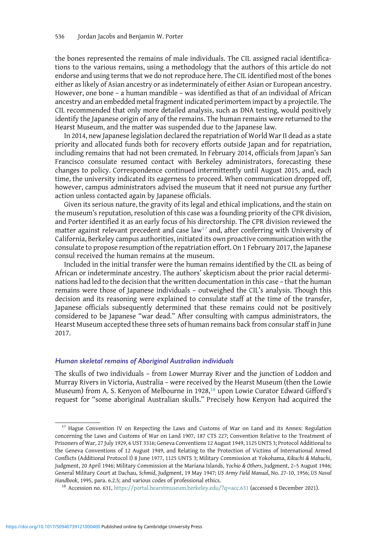the bones represented the remains of male individuals. The CIL assigned racial identifications to the various remains, using a methodology that the authors of this article do not endorse and using terms that we do not reproduce here. The CIL identified most of the bones either as likely of Asian ancestry or as indeterminately of either Asian or European ancestry. However, one bone – a human mandible – was identified as that of an individual of African ancestry and an embedded metal fragment indicated perimortem impact by a projectile. The CIL recommended that only more detailed analysis, such as DNA testing, would positively identify the Japanese origin of any of the remains. The human remains were returned to the Hearst Museum, and the matter was suspended due to the Japanese law.

In 2014, new Japanese legislation declared the repatriation of World War II dead as a state priority and allocated funds both for recovery efforts outside Japan and for repatriation, including remains that had not been cremated. In February 2014, officials from Japan's San Francisco consulate resumed contact with Berkeley administrators, forecasting these changes to policy. Correspondence continued intermittently until August 2015, and, each time, the university indicated its eagerness to proceed. When communication dropped off, however, campus administrators advised the museum that it need not pursue any further action unless contacted again by Japanese officials.

Given its serious nature, the gravity of its legal and ethical implications, and the stain on the museum's reputation, resolution of this case was a founding priority of the CPR division, and Porter identified it as an early focus of his directorship. The CPR division reviewed the matter against relevant precedent and case law<sup>17</sup> and, after conferring with University of California, Berkeley campus authorities, initiated its own proactive communication with the consulate to propose resumption of the repatriation effort. On 1 February 2017, the Japanese consul received the human remains at the museum.

Included in the initial transfer were the human remains identified by the CIL as being of African or indeterminate ancestry. The authors' skepticism about the prior racial determinations had led to the decision that the written documentation in this case – that the human remains were those of Japanese individuals – outweighed the CIL's analysis. Though this decision and its reasoning were explained to consulate staff at the time of the transfer, Japanese officials subsequently determined that these remains could not be positively considered to be Japanese "war dead." After consulting with campus administrators, the Hearst Museum accepted these three sets of human remains back from consular staff in June 2017.

## Human skeletal remains of Aboriginal Australian individuals

The skulls of two individuals – from Lower Murray River and the junction of Loddon and Murray Rivers in Victoria, Australia – were received by the Hearst Museum (then the Lowie Museum) from A. S. Kenyon of Melbourne in 1928,<sup>18</sup> upon Lowie Curator Edward Gifford's request for "some aboriginal Australian skulls." Precisely how Kenyon had acquired the

 $17$  Hague Convention IV on Respecting the Laws and Customs of War on Land and its Annex: Regulation concerning the Laws and Customs of War on Land 1907, 187 CTS 227; Convention Relative to the Treatment of Prisoners of War, 27 July 1929, 6 UST 3316; Geneva Conventions 12 August 1949, 1125 UNTS 3; Protocol Additional to the Geneva Conventions of 12 August 1949, and Relating to the Protection of Victims of International Armed Conflicts (Additional Protocol I) 8 June 1977, 1125 UNTS 3; Military Commission at Yokohama, Kikuchi & Mahuchi, Judgment, 20 April 1946; Military Commission at the Mariana Islands, Yochio & Others, Judgment, 2–5 August 1946; General Military Court at Dachau, Schmid, Judgment, 19 May 1947; US Army Field Manual, No. 27-10, 1956; US Naval Handbook, 1995, para. 6.2.5; and various codes of professional ethics.<br><sup>18</sup> Accession no. 631, [https://portal.hearstmuseum.berkeley.edu/?q](https://portal.hearstmuseum.berkeley.edu/?q=acc.631)=acc.631 (accessed 6 December 2021).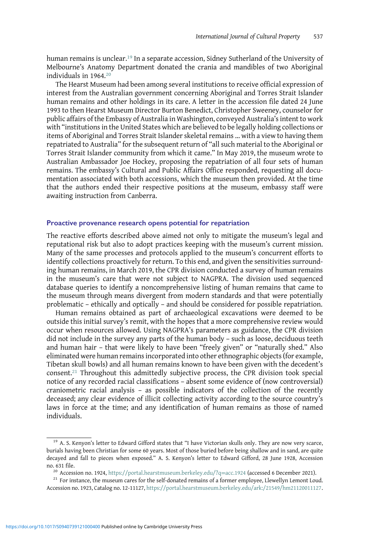human remains is unclear.<sup>19</sup> In a separate accession, Sidney Sutherland of the University of Melbourne's Anatomy Department donated the crania and mandibles of two Aboriginal individuals in 1964.<sup>20</sup>

The Hearst Museum had been among several institutions to receive official expression of interest from the Australian government concerning Aboriginal and Torres Strait Islander human remains and other holdings in its care. A letter in the accession file dated 24 June 1993 to then Hearst Museum Director Burton Benedict, Christopher Sweeney, counselor for public affairs of the Embassy of Australia in Washington, conveyed Australia's intent to work with "institutions in the United States which are believed to be legally holding collections or items of Aboriginal and Torres Strait Islander skeletal remains … with a view to having them repatriated to Australia" for the subsequent return of "all such material to the Aboriginal or Torres Strait Islander community from which it came." In May 2019, the museum wrote to Australian Ambassador Joe Hockey, proposing the repatriation of all four sets of human remains. The embassy's Cultural and Public Affairs Office responded, requesting all documentation associated with both accessions, which the museum then provided. At the time that the authors ended their respective positions at the museum, embassy staff were awaiting instruction from Canberra.

#### Proactive provenance research opens potential for repatriation

The reactive efforts described above aimed not only to mitigate the museum's legal and reputational risk but also to adopt practices keeping with the museum's current mission. Many of the same processes and protocols applied to the museum's concurrent efforts to identify collections proactively for return. To this end, and given the sensitivities surrounding human remains, in March 2019, the CPR division conducted a survey of human remains in the museum's care that were not subject to NAGPRA. The division used sequenced database queries to identify a noncomprehensive listing of human remains that came to the museum through means divergent from modern standards and that were potentially problematic – ethically and optically – and should be considered for possible repatriation.

Human remains obtained as part of archaeological excavations were deemed to be outside this initial survey's remit, with the hopes that a more comprehensive review would occur when resources allowed. Using NAGPRA's parameters as guidance, the CPR division did not include in the survey any parts of the human body – such as loose, deciduous teeth and human hair – that were likely to have been "freely given" or "naturally shed." Also eliminated were human remains incorporated into other ethnographic objects (for example, Tibetan skull bowls) and all human remains known to have been given with the decedent's consent.<sup>21</sup> Throughout this admittedly subjective process, the CPR division took special notice of any recorded racial classifications – absent some evidence of (now controversial) craniometric racial analysis – as possible indicators of the collection of the recently deceased; any clear evidence of illicit collecting activity according to the source country's laws in force at the time; and any identification of human remains as those of named individuals.

<sup>&</sup>lt;sup>19</sup> A. S. Kenyon's letter to Edward Gifford states that "I have Victorian skulls only. They are now very scarce, burials having been Christian for some 60 years. Most of those buried before being shallow and in sand, are quite decayed and fall to pieces when exposed." A. S. Kenyon's letter to Edward Gifford, 28 June 1928, Accession no. 631 file.<br><sup>20</sup> Accession no. 1924, [https://portal.hearstmuseum.berkeley.edu/?q](https://portal.hearstmuseum.berkeley.edu/?q=acc.1924)=acc.1924 (accessed 6 December 2021).<br><sup>21</sup> For instance, the museum cares for the self-donated remains of a former employee, Llewellyn Lemo

Accession no. 1923, Catalog no. 12-11127, [https://portal.hearstmuseum.berkeley.edu/ark:/21549/hm21120011127.](https://portal.hearstmuseum.berkeley.edu/ark:/21549/hm21120011127)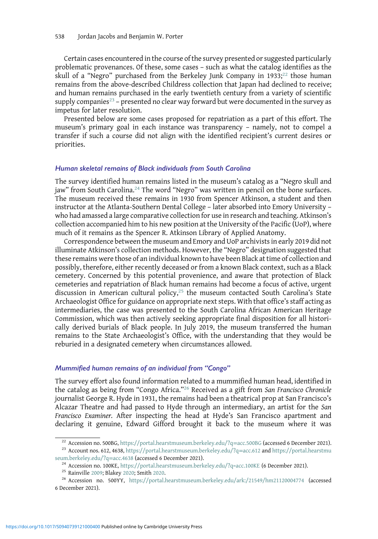Certain cases encountered in the course of the survey presented or suggested particularly problematic provenances. Of these, some cases – such as what the catalog identifies as the skull of a "Negro" purchased from the Berkeley Junk Company in 1933;<sup>22</sup> those human remains from the above-described Childress collection that Japan had declined to receive; and human remains purchased in the early twentieth century from a variety of scientific supply companies<sup>23</sup> – presented no clear way forward but were documented in the survey as impetus for later resolution.

Presented below are some cases proposed for repatriation as a part of this effort. The museum's primary goal in each instance was transparency – namely, not to compel a transfer if such a course did not align with the identified recipient's current desires or priorities.

## Human skeletal remains of Black individuals from South Carolina

The survey identified human remains listed in the museum's catalog as a "Negro skull and jaw" from South Carolina.<sup>24</sup> The word "Negro" was written in pencil on the bone surfaces. The museum received these remains in 1930 from Spencer Atkinson, a student and then instructor at the Atlanta-Southern Dental College – later absorbed into Emory University – who had amassed a large comparative collection for use in research and teaching. Atkinson's collection accompanied him to his new position at the University of the Pacific (UoP), where much of it remains as the Spencer R. Atkinson Library of Applied Anatomy.

Correspondence between the museum and Emory and UoP archivists in early 2019 did not illuminate Atkinson's collection methods. However, the "Negro" designation suggested that these remains were those of an individual known to have been Black at time of collection and possibly, therefore, either recently deceased or from a known Black context, such as a Black cemetery. Concerned by this potential provenience, and aware that protection of Black cemeteries and repatriation of Black human remains had become a focus of active, urgent discussion in American cultural policy, $25$  the museum contacted South Carolina's State Archaeologist Office for guidance on appropriate next steps. With that office's staff acting as intermediaries, the case was presented to the South Carolina African American Heritage Commission, which was then actively seeking appropriate final disposition for all historically derived burials of Black people. In July 2019, the museum transferred the human remains to the State Archaeologist's Office, with the understanding that they would be reburied in a designated cemetery when circumstances allowed.

#### Mummified human remains of an individual from "Congo"

The survey effort also found information related to a mummified human head, identified in the catalog as being from "Congo Africa."<sup>26</sup> Received as a gift from San Francisco Chronicle journalist George R. Hyde in 1931, the remains had been a theatrical prop at San Francisco's Alcazar Theatre and had passed to Hyde through an intermediary, an artist for the San Francisco Examiner. After inspecting the head at Hyde's San Francisco apartment and declaring it genuine, Edward Gifford brought it back to the museum where it was

<sup>&</sup>lt;sup>22</sup> Accession no. 500BG, [https://portal.hearstmuseum.berkeley.edu/?q](https://portal.hearstmuseum.berkeley.edu/?q=acc.612)=acc.500BG (accessed 6 December 2021).<br><sup>23</sup> Account nos. 612, 4638, [https://portal.hearstmu](https://portal.hearstmuseum.berkeley.edu/?q=acc.4638)seum.berkeley.edu/?q=acc.612 and https://portal.hearstmu

[seum.berkeley.edu/?q](https://portal.hearstmuseum.berkeley.edu/?q=acc.4638)=acc.4638 (accessed 6 December 2021).<br><sup>24</sup> Accession no. 100KE, <https://portal.hearstmuseum.berkeley.edu/?q=acc.100KE> (6 December 2021).<br><sup>25</sup> Rainville [2009;](#page-19-0) Blakey [2020;](#page-18-0) Smith [2020](#page-19-0).<br><sup>26</sup> Accession no.

<sup>6</sup> December 2021).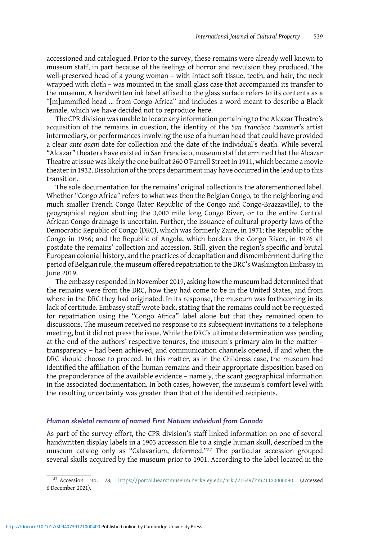accessioned and catalogued. Prior to the survey, these remains were already well known to museum staff, in part because of the feelings of horror and revulsion they produced. The well-preserved head of a young woman – with intact soft tissue, teeth, and hair, the neck wrapped with cloth – was mounted in the small glass case that accompanied its transfer to the museum. A handwritten ink label affixed to the glass surface refers to its contents as a "[m]ummified head … from Congo Africa" and includes a word meant to describe a Black female, which we have decided not to reproduce here.

The CPR division was unable to locate any information pertaining to the Alcazar Theatre's acquisition of the remains in question, the identity of the San Francisco Examiner's artist intermediary, or performances involving the use of a human head that could have provided a clear ante quem date for collection and the date of the individual's death. While several "Alcazar" theaters have existed in San Francisco, museum staff determined that the Alcazar Theatre at issue was likely the one built at 260 O'Farrell Street in 1911, which became a movie theater in 1932. Dissolution of the props department may have occurred in the lead up to this transition.

The sole documentation for the remains' original collection is the aforementioned label. Whether "Congo Africa" refers to what was then the Belgian Congo, to the neighboring and much smaller French Congo (later Republic of the Congo and Congo-Brazzaville), to the geographical region abutting the 3,000 mile long Congo River, or to the entire Central African Congo drainage is uncertain. Further, the issuance of cultural property laws of the Democratic Republic of Congo (DRC), which was formerly Zaire, in 1971; the Republic of the Congo in 1956; and the Republic of Angola, which borders the Congo River, in 1976 all postdate the remains' collection and accession. Still, given the region's specific and brutal European colonial history, and the practices of decapitation and dismemberment during the period of Belgian rule, the museum offered repatriation to the DRC's Washington Embassy in June 2019.

The embassy responded in November 2019, asking how the museum had determined that the remains were from the DRC, how they had come to be in the United States, and from where in the DRC they had originated. In its response, the museum was forthcoming in its lack of certitude. Embassy staff wrote back, stating that the remains could not be requested for repatriation using the "Congo Africa" label alone but that they remained open to discussions. The museum received no response to its subsequent invitations to a telephone meeting, but it did not press the issue. While the DRC's ultimate determination was pending at the end of the authors' respective tenures, the museum's primary aim in the matter – transparency – had been achieved, and communication channels opened, if and when the DRC should choose to proceed. In this matter, as in the Childress case, the museum had identified the affiliation of the human remains and their appropriate disposition based on the preponderance of the available evidence – namely, the scant geographical information in the associated documentation. In both cases, however, the museum's comfort level with the resulting uncertainty was greater than that of the identified recipients.

# Human skeletal remains of named First Nations individual from Canada

As part of the survey effort, the CPR division's staff linked information on one of several handwritten display labels in a 1903 accession file to a single human skull, described in the museum catalog only as "Calavarium, deformed."<sup>27</sup> The particular accession grouped several skulls acquired by the museum prior to 1901. According to the label located in the

 $^{27}$  Accession no. 78, <https://portal.hearstmuseum.berkeley.edu/ark:/21549/hm21120000090> (accessed 6 December 2021).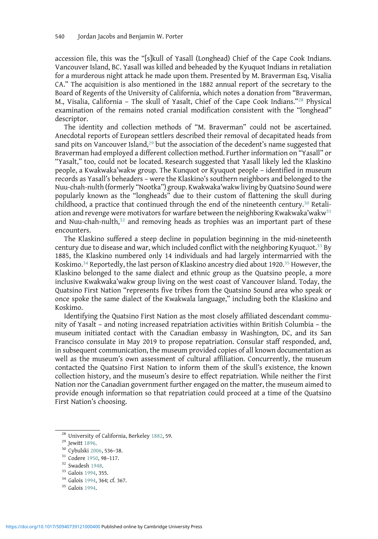accession file, this was the "[s]kull of Yasall (Longhead) Chief of the Cape Cook Indians. Vancouver Island, BC. Yasall was killed and beheaded by the Kyuquot Indians in retaliation for a murderous night attack he made upon them. Presented by M. Braverman Esq, Visalia CA." The acquisition is also mentioned in the 1882 annual report of the secretary to the Board of Regents of the University of California, which notes a donation from "Braverman, M., Visalia, California – The skull of Yasalt, Chief of the Cape Cook Indians."<sup>28</sup> Physical examination of the remains noted cranial modification consistent with the "longhead" descriptor.

The identity and collection methods of "M. Braverman" could not be ascertained. Anecdotal reports of European settlers described their removal of decapitated heads from sand pits on Vancouver Island,<sup>29</sup> but the association of the decedent's name suggested that Braverman had employed a different collection method. Further information on "Yasall" or "Yasalt," too, could not be located. Research suggested that Yasall likely led the Klaskino people, a Kwakwaka'wakw group. The Kunquot or Kyuquot people – identified in museum records as Yasall's beheaders – were the Klaskino's southern neighbors and belonged to the Nuu-chah-nulth (formerly "Nootka") group. Kwakwaka'wakw living by Quatsino Sound were popularly known as the "longheads" due to their custom of flattening the skull during childhood, a practice that continued through the end of the nineteenth century.<sup>30</sup> Retaliation and revenge were motivators for warfare between the neighboring Kwakwaka'wakw<sup>31</sup> and Nuu-chah-nulth, $32$  and removing heads as trophies was an important part of these encounters.

The Klaskino suffered a steep decline in population beginning in the mid-nineteenth century due to disease and war, which included conflict with the neighboring Kyuquot.<sup>33</sup> By 1885, the Klaskino numbered only 14 individuals and had largely intermarried with the Koskimo.<sup>34</sup> Reportedly, the last person of Klaskino ancestry died about 1920.<sup>35</sup> However, the Klaskino belonged to the same dialect and ethnic group as the Quatsino people, a more inclusive Kwakwaka'wakw group living on the west coast of Vancouver Island. Today, the Quatsino First Nation "represents five tribes from the Quatsino Sound area who speak or once spoke the same dialect of the Kwakwala language," including both the Klaskino and Koskimo.

Identifying the Quatsino First Nation as the most closely affiliated descendant community of Yasalt – and noting increased repatriation activities within British Columbia – the museum initiated contact with the Canadian embassy in Washington, DC, and its San Francisco consulate in May 2019 to propose repatriation. Consular staff responded, and, in subsequent communication, the museum provided copies of all known documentation as well as the museum's own assessment of cultural affiliation. Concurrently, the museum contacted the Quatsino First Nation to inform them of the skull's existence, the known collection history, and the museum's desire to effect repatriation. While neither the First Nation nor the Canadian government further engaged on the matter, the museum aimed to provide enough information so that repatriation could proceed at a time of the Quatsino First Nation's choosing.

<sup>&</sup>lt;sup>28</sup> University of California, Berkeley [1882,](#page-19-0) 59.<br><sup>29</sup> Jewitt [1896](#page-19-0).<br><sup>30</sup> Cybulski [2006](#page-18-0), 536–38.<br><sup>31</sup> Codere [1950,](#page-18-0) 98–117.<br><sup>32</sup> Swadesh [1948](#page-19-0).<br><sup>33</sup> Galois [1994,](#page-18-0) 355.<br><sup>34</sup> Galois 1994, 364; cf. 367.<br><sup>35</sup> Galois [1994.](#page-18-0)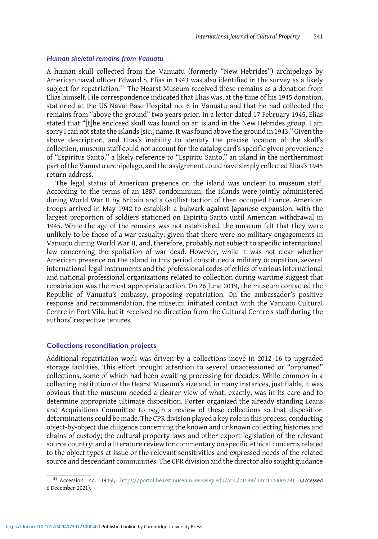#### Human skeletal remains from Vanuatu

A human skull collected from the Vanuatu (formerly "New Hebrides") archipelago by American naval officer Edward S. Elias in 1943 was also identified in the survey as a likely subject for repatriation.<sup>36</sup> The Hearst Museum received these remains as a donation from Elias himself. File correspondence indicated that Elias was, at the time of his 1945 donation, stationed at the US Naval Base Hospital no. 6 in Vanuatu and that he had collected the remains from "above the ground" two years prior. In a letter dated 17 February 1945, Elias stated that "[t]he enclosed skull was found on an island in the New Hebrides group. I am sorry I can not state the islands [sic.] name. It was found above the ground in 1943." Given the above description, and Elias's inability to identify the precise location of the skull's collection, museum staff could not account for the catalog card's specific given provenience of "Espiritus Santo," a likely reference to "Espiritu Santo," an island in the northernmost part of the Vanuatu archipelago, and the assignment could have simply reflected Elias's 1945 return address.

The legal status of American presence on the island was unclear to museum staff. According to the terms of an 1887 condominium, the islands were jointly administered during World War II by Britain and a Gaullist faction of then occupied France. American troops arrived in May 1942 to establish a bulwark against Japanese expansion, with the largest proportion of soldiers stationed on Espiritu Santo until American withdrawal in 1945. While the age of the remains was not established, the museum felt that they were unlikely to be those of a war casualty, given that there were no military engagements in Vanuatu during World War II, and, therefore, probably not subject to specific international law concerning the spoliation of war dead. However, while it was not clear whether American presence on the island in this period constituted a military occupation, several international legal instruments and the professional codes of ethics of various international and national professional organizations related to collection during wartime suggest that repatriation was the most appropriate action. On 26 June 2019, the museum contacted the Republic of Vanuatu's embassy, proposing repatriation. On the ambassador's positive response and recommendation, the museum initiated contact with the Vanuatu Cultural Centre in Port Vila, but it received no direction from the Cultural Centre's staff during the authors' respective tenures.

#### Collections reconciliation projects

Additional repatriation work was driven by a collections move in 2012–16 to upgraded storage facilities. This effort brought attention to several unaccessioned or "orphaned" collections, some of which had been awaiting processing for decades. While common in a collecting institution of the Hearst Museum's size and, in many instances, justifiable, it was obvious that the museum needed a clearer view of what, exactly, was in its care and to determine appropriate ultimate disposition. Porter organized the already standing Loans and Acquisitions Committee to begin a review of these collections so that disposition determinations could be made. The CPR division played a key role in this process, conducting object-by-object due diligence concerning the known and unknown collecting histories and chains of custody; the cultural property laws and other export legislation of the relevant source country; and a literature review for commentary on specific ethical concerns related to the object types at issue or the relevant sensitivities and expressed needs of the related source and descendant communities. The CPR division and the director also sought guidance

<sup>36</sup> Accession no. 1945I, <https://portal.hearstmuseum.berkeley.edu/ark:/21549/hm21120005281> (accessed 6 December 2021).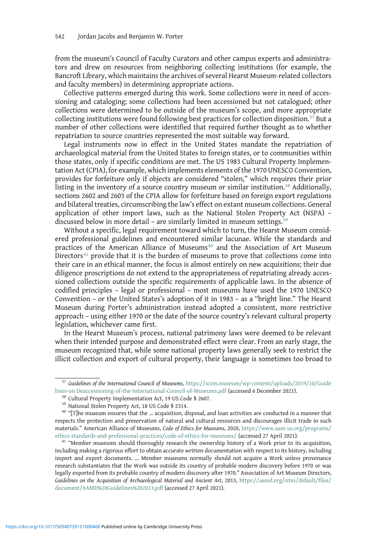from the museum's Council of Faculty Curators and other campus experts and administrators and drew on resources from neighboring collecting institutions (for example, the Bancroft Library, which maintains the archives of several Hearst Museum-related collectors and faculty members) in determining appropriate actions.

Collective patterns emerged during this work. Some collections were in need of accessioning and cataloging; some collections had been accessioned but not catalogued; other collections were determined to be outside of the museum's scope, and more appropriate collecting institutions were found following best practices for collection disposition.<sup>37</sup> But a number of other collections were identified that required further thought as to whether repatriation to source countries represented the most suitable way forward.

Legal instruments now in effect in the United States mandate the repatriation of archaeological material from the United States to foreign states, or to communities within those states, only if specific conditions are met. The US 1983 Cultural Property Implementation Act (CPIA), for example, which implements elements of the 1970 UNESCO Convention, provides for forfeiture only if objects are considered "stolen," which requires their prior listing in the inventory of a source country museum or similar institution.<sup>38</sup> Additionally, sections 2602 and 2603 of the CPIA allow for forfeiture based on foreign export regulations and bilateral treaties, circumscribing the law's effect on extant museum collections. General application of other import laws, such as the National Stolen Property Act (NSPA) – discussed below in more detail - are similarly limited in museum settings.<sup>39</sup>

Without a specific, legal requirement toward which to turn, the Hearst Museum considered professional guidelines and encountered similar lacunae. While the standards and practices of the American Alliance of Museums<sup>40</sup> and the Association of Art Museum Directors<sup>41</sup> provide that it is the burden of museums to prove that collections come into their care in an ethical manner, the focus is almost entirely on new acquisitions; their due diligence proscriptions do not extend to the appropriateness of repatriating already accessioned collections outside the specific requirements of applicable laws. In the absence of codified principles – legal or professional – most museums have used the 1970 UNESCO Convention – or the United States's adoption of it in 1983 – as a "bright line." The Hearst Museum during Porter's administration instead adopted a consistent, more restrictive approach – using either 1970 or the date of the source country's relevant cultural property legislation, whichever came first.

In the Hearst Museum's process, national patrimony laws were deemed to be relevant when their intended purpose and demonstrated effect were clear. From an early stage, the museum recognized that, while some national property laws generally seek to restrict the illicit collection and export of cultural property, their language is sometimes too broad to

<sup>&</sup>lt;sup>37</sup> Guidelines of the International Council of Museums, [https://icom.museum/wp-content/uploads/2019/10/Guide](https://icom.museum/wp-content/uploads/2019/10/Guidelines-on-Deaccessioning-of-the-International-Council-of-Museums.pdf) [lines-on-Deaccessioning-of-the-International-Council-of-Museums.pdf](https://icom.museum/wp-content/uploads/2019/10/Guidelines-on-Deaccessioning-of-the-International-Council-of-Museums.pdf) (accessed 6 December 2021).<br><sup>38</sup> Cultural Property Implementation Act, 19 US Code § 2607.<br><sup>39</sup> National Stolen Property Act, 18 US Code § 2314.<br><sup>40</sup> "[T]h

respects the protection and preservation of natural and cultural resources and discourages illicit trade in such materials." American Alliance of Museums, Code of Ethics for Museums, 2020, [https://www.aam-us.org/programs/](https://www.aam-us.org/programs/ethics-standards-and-professional-practices/code-of-ethics-for-museums/)

[ethics-standards-and-professional-practices/code-of-ethics-for-museums/](https://www.aam-us.org/programs/ethics-standards-and-professional-practices/code-of-ethics-for-museums/) (accessed 27 April 2021). <sup>41</sup> "Member museums should thoroughly research the ownership history of a Work prior to its acquisition, including making a rigorous effort to obtain accurate written documentation with respect to its history, including import and export documents. … Member museums normally should not acquire a Work unless provenance research substantiates that the Work was outside its country of probable modern discovery before 1970 or was legally exported from its probable country of modern discovery after 1970." Association of Art Museum Directors, Guidelines on the Acquisition of Archaeological Material and Ancient Art, 2013, [https://aamd.org/sites/default/files/](https://aamd.org/sites/default/files/document/AAMD%20Guidelines%202013.pdf) [document/AAMD%20Guidelines%202013.pdf](https://aamd.org/sites/default/files/document/AAMD%20Guidelines%202013.pdf) (accessed 27 April 2021).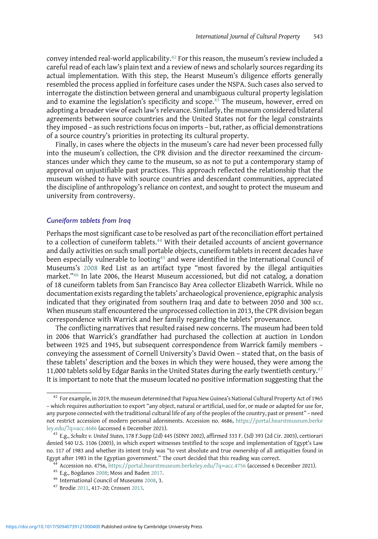convey intended real-world applicability.<sup>42</sup> For this reason, the museum's review included a careful read of each law's plain text and a review of news and scholarly sources regarding its actual implementation. With this step, the Hearst Museum's diligence efforts generally resembled the process applied in forfeiture cases under the NSPA. Such cases also served to interrogate the distinction between general and unambiguous cultural property legislation and to examine the legislation's specificity and scope.<sup>43</sup> The museum, however, erred on adopting a broader view of each law's relevance. Similarly, the museum considered bilateral agreements between source countries and the United States not for the legal constraints they imposed – as such restrictions focus on imports – but, rather, as official demonstrations of a source country's priorities in protecting its cultural property.

Finally, in cases where the objects in the museum's care had never been processed fully into the museum's collection, the CPR division and the director reexamined the circumstances under which they came to the museum, so as not to put a contemporary stamp of approval on unjustifiable past practices. This approach reflected the relationship that the museum wished to have with source countries and descendant communities, appreciated the discipline of anthropology's reliance on context, and sought to protect the museum and university from controversy.

#### Cuneiform tablets from Iraq

Perhaps the most significant case to be resolved as part of the reconciliation effort pertained to a collection of cuneiform tablets.<sup>44</sup> With their detailed accounts of ancient governance and daily activities on such small portable objects, cuneiform tablets in recent decades have been especially vulnerable to looting<sup>45</sup> and were identified in the International Council of Museums's [2008](#page-18-0) Red List as an artifact type "most favored by the illegal antiquities market."<sup>46</sup> In late 2006, the Hearst Museum accessioned, but did not catalog, a donation of 18 cuneiform tablets from San Francisco Bay Area collector Elizabeth Warrick. While no documentation exists regarding the tablets' archaeological provenience, epigraphic analysis indicated that they originated from southern Iraq and date to between 2050 and 300 BCE. When museum staff encountered the unprocessed collection in 2013, the CPR division began correspondence with Warrick and her family regarding the tablets' provenance.

The conflicting narratives that resulted raised new concerns. The museum had been told in 2006 that Warrick's grandfather had purchased the collection at auction in London between 1925 and 1945, but subsequent correspondence from Warrick family members – conveying the assessment of Cornell University's David Owen – stated that, on the basis of these tablets' description and the boxes in which they were housed, they were among the 11,000 tablets sold by Edgar Banks in the United States during the early twentieth century.<sup>47</sup> It is important to note that the museum located no positive information suggesting that the

<sup>42</sup> For example, in 2019, the museum determined that Papua New Guinea's National Cultural Property Act of 1965 – which requires authorization to export "any object, natural or artificial, used for, or made or adapted for use for, any purpose connected with the traditional cultural life of any of the peoples of the country, past or present" – need not restrict accession of modern personal adornments. Accession no. 4686, [https://portal.hearstmuseum.berke](https://portal.hearstmuseum.berkeley.edu/?q=acc.4686) [ley.edu/?q](https://portal.hearstmuseum.berkeley.edu/?q=acc.4686)=acc.4686 (accessed 6 December 2021).<br><sup>43</sup> E.g., Schultz v. United States, 178 F.Supp (2d) 445 (SDNY 2002), affirmed 333 F. (3d) 393 (2d Cir. 2003), certiorari

denied 540 U.S. 1106 (2003), in which expert witnesses testified to the scope and implementation of Egypt's Law no. 117 of 1983 and whether its intent truly was "to vest absolute and true ownership of all antiquities found in Egypt after 1983 in the Egyptian government." The court decided that this reading was correct.<br><sup>44</sup> Accession no. 4756, [https://portal.hearstmuseum.berkeley.edu/?q](https://portal.hearstmuseum.berkeley.edu/?q=acc.4756)=acc.4756 (accessed 6 December 2021).<br><sup>45</sup> E.g., Bogdanos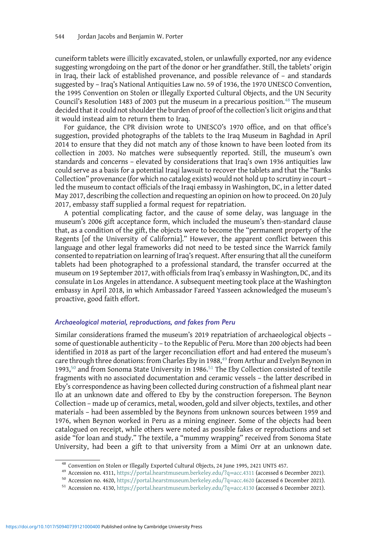cuneiform tablets were illicitly excavated, stolen, or unlawfully exported, nor any evidence suggesting wrongdoing on the part of the donor or her grandfather. Still, the tablets' origin in Iraq, their lack of established provenance, and possible relevance of – and standards suggested by – Iraq's National Antiquities Law no. 59 of 1936, the 1970 UNESCO Convention, the 1995 Convention on Stolen or Illegally Exported Cultural Objects, and the UN Security Council's Resolution 1483 of 2003 put the museum in a precarious position. $48$  The museum decided that it could not shoulder the burden of proof of the collection's licit origins and that it would instead aim to return them to Iraq.

For guidance, the CPR division wrote to UNESCO's 1970 office, and on that office's suggestion, provided photographs of the tablets to the Iraq Museum in Baghdad in April 2014 to ensure that they did not match any of those known to have been looted from its collection in 2003. No matches were subsequently reported. Still, the museum's own standards and concerns – elevated by considerations that Iraq's own 1936 antiquities law could serve as a basis for a potential Iraqi lawsuit to recover the tablets and that the "Banks Collection" provenance (for which no catalog exists) would not hold up to scrutiny in court – led the museum to contact officials of the Iraqi embassy in Washington, DC, in a letter dated May 2017, describing the collection and requesting an opinion on how to proceed. On 20 July 2017, embassy staff supplied a formal request for repatriation.

A potential complicating factor, and the cause of some delay, was language in the museum's 2006 gift acceptance form, which included the museum's then-standard clause that, as a condition of the gift, the objects were to become the "permanent property of the Regents [of the University of California]." However, the apparent conflict between this language and other legal frameworks did not need to be tested since the Warrick family consented to repatriation on learning of Iraq's request. After ensuring that all the cuneiform tablets had been photographed to a professional standard, the transfer occurred at the museum on 19 September 2017, with officials from Iraq's embassy in Washington, DC, and its consulate in Los Angeles in attendance. A subsequent meeting took place at the Washington embassy in April 2018, in which Ambassador Fareed Yasseen acknowledged the museum's proactive, good faith effort.

## Archaeological material, reproductions, and fakes from Peru

Similar considerations framed the museum's 2019 repatriation of archaeological objects – some of questionable authenticity – to the Republic of Peru. More than 200 objects had been identified in 2018 as part of the larger reconciliation effort and had entered the museum's care through three donations: from Charles Eby in 1988,<sup>49</sup> from Arthur and Evelyn Beynon in 1993,<sup>50</sup> and from Sonoma State University in 1986.<sup>51</sup> The Eby Collection consisted of textile fragments with no associated documentation and ceramic vessels – the latter described in Eby's correspondence as having been collected during construction of a fishmeal plant near Ilo at an unknown date and offered to Eby by the construction foreperson. The Beynon Collection – made up of ceramics, metal, wooden, gold and silver objects, textiles, and other materials – had been assembled by the Beynons from unknown sources between 1959 and 1976, when Beynon worked in Peru as a mining engineer. Some of the objects had been catalogued on receipt, while others were noted as possible fakes or reproductions and set aside "for loan and study." The textile, a "mummy wrapping" received from Sonoma State University, had been a gift to that university from a Mimi Orr at an unknown date.

<sup>&</sup>lt;sup>48</sup> Convention on Stolen or Illegally Exported Cultural Objects, 24 June 1995, 2421 UNTS 457.<br><sup>49</sup> Accession no. 4311, [https://portal.hearstmuseum.berkeley.edu/?q](https://portal.hearstmuseum.berkeley.edu/?q=acc.4130)=acc.4311 (accessed 6 December 2021).<br><sup>50</sup> Accession no. 4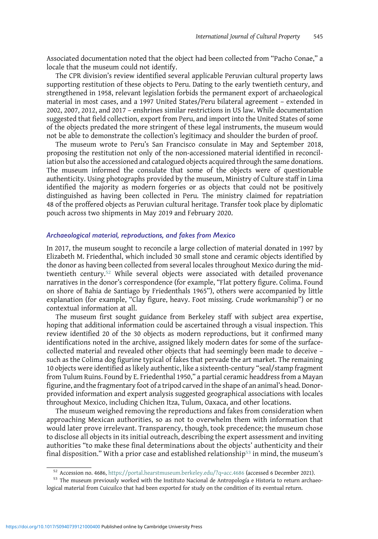Associated documentation noted that the object had been collected from "Pacho Conae," a locale that the museum could not identify.

The CPR division's review identified several applicable Peruvian cultural property laws supporting restitution of these objects to Peru. Dating to the early twentieth century, and strengthened in 1958, relevant legislation forbids the permanent export of archaeological material in most cases, and a 1997 United States/Peru bilateral agreement – extended in 2002, 2007, 2012, and 2017 – enshrines similar restrictions in US law. While documentation suggested that field collection, export from Peru, and import into the United States of some of the objects predated the more stringent of these legal instruments, the museum would not be able to demonstrate the collection's legitimacy and shoulder the burden of proof.

The museum wrote to Peru's San Francisco consulate in May and September 2018, proposing the restitution not only of the non-accessioned material identified in reconciliation but also the accessioned and catalogued objects acquired through the same donations. The museum informed the consulate that some of the objects were of questionable authenticity. Using photographs provided by the museum, Ministry of Culture staff in Lima identified the majority as modern forgeries or as objects that could not be positively distinguished as having been collected in Peru. The ministry claimed for repatriation 48 of the proffered objects as Peruvian cultural heritage. Transfer took place by diplomatic pouch across two shipments in May 2019 and February 2020.

## Archaeological material, reproductions, and fakes from Mexico

In 2017, the museum sought to reconcile a large collection of material donated in 1997 by Elizabeth M. Friedenthal, which included 30 small stone and ceramic objects identified by the donor as having been collected from several locales throughout Mexico during the midtwentieth century.<sup>52</sup> While several objects were associated with detailed provenance narratives in the donor's correspondence (for example, "Flat pottery figure. Colima. Found on shore of Bahia de Santiago by Friedenthals 1965"), others were accompanied by little explanation (for example, "Clay figure, heavy. Foot missing. Crude workmanship") or no contextual information at all.

The museum first sought guidance from Berkeley staff with subject area expertise, hoping that additional information could be ascertained through a visual inspection. This review identified 20 of the 30 objects as modern reproductions, but it confirmed many identifications noted in the archive, assigned likely modern dates for some of the surfacecollected material and revealed other objects that had seemingly been made to deceive – such as the Colima dog figurine typical of fakes that pervade the art market. The remaining 10 objects were identified as likely authentic, like a sixteenth-century "seal/stamp fragment from Tulum Ruins. Found by E. Friedenthal 1950," a partial ceramic headdress from a Mayan figurine, and the fragmentary foot of a tripod carved in the shape of an animal's head. Donorprovided information and expert analysis suggested geographical associations with locales throughout Mexico, including Chichen Itza, Tulum, Oaxaca, and other locations.

The museum weighed removing the reproductions and fakes from consideration when approaching Mexican authorities, so as not to overwhelm them with information that would later prove irrelevant. Transparency, though, took precedence; the museum chose to disclose all objects in its initial outreach, describing the expert assessment and inviting authorities "to make these final determinations about the objects' authenticity and their final disposition." With a prior case and established relationship<sup>53</sup> in mind, the museum's

<sup>&</sup>lt;sup>52</sup> Accession no. 4686, [https://portal.hearstmuseum.berkeley.edu/?q=acc.4686](https://portal.hearstmuseum.berkeley.edu/?qacc.4686) (accessed 6 December 2021).<br><sup>53</sup> The museum previously worked with the Instituto Nacional de Antropología e Historia to return archaeological material from Cuicuilco that had been exported for study on the condition of its eventual return.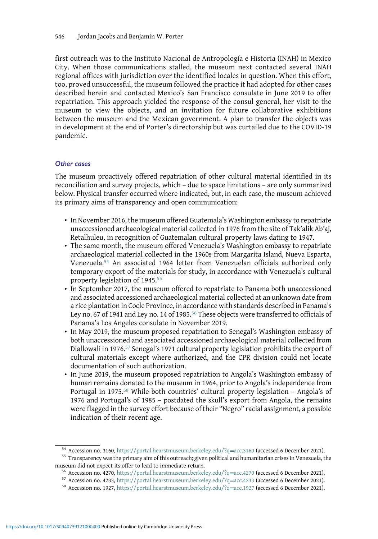first outreach was to the Instituto Nacional de Antropología e Historia (INAH) in Mexico City. When those communications stalled, the museum next contacted several INAH regional offices with jurisdiction over the identified locales in question. When this effort, too, proved unsuccessful, the museum followed the practice it had adopted for other cases described herein and contacted Mexico's San Francisco consulate in June 2019 to offer repatriation. This approach yielded the response of the consul general, her visit to the museum to view the objects, and an invitation for future collaborative exhibitions between the museum and the Mexican government. A plan to transfer the objects was in development at the end of Porter's directorship but was curtailed due to the COVID-19 pandemic.

# Other cases

The museum proactively offered repatriation of other cultural material identified in its reconciliation and survey projects, which – due to space limitations – are only summarized below. Physical transfer occurred where indicated, but, in each case, the museum achieved its primary aims of transparency and open communication:

- In November 2016, the museum offered Guatemala's Washington embassy to repatriate unaccessioned archaeological material collected in 1976 from the site of Tak'alik Ab'aj, Retalhuleu, in recognition of Guatemalan cultural property laws dating to 1947.
- The same month, the museum offered Venezuela's Washington embassy to repatriate archaeological material collected in the 1960s from Margarita Island, Nueva Esparta, Venezuela.<sup>54</sup> An associated 1964 letter from Venezuelan officials authorized only temporary export of the materials for study, in accordance with Venezuela's cultural property legislation of 1945.<sup>55</sup>
- In September 2017, the museum offered to repatriate to Panama both unaccessioned and associated accessioned archaeological material collected at an unknown date from a rice plantation in Cocle Province, in accordance with standards described in Panama's Ley no. 67 of 1941 and Ley no. 14 of 1985.<sup>56</sup> These objects were transferred to officials of Panama's Los Angeles consulate in November 2019.
- In May 2019, the museum proposed repatriation to Senegal's Washington embassy of both unaccessioned and associated accessioned archaeological material collected from Diallowali in 1976.57 Senegal's 1971 cultural property legislation prohibits the export of cultural materials except where authorized, and the CPR division could not locate documentation of such authorization.
- In June 2019, the museum proposed repatriation to Angola's Washington embassy of human remains donated to the museum in 1964, prior to Angola's independence from Portugal in 1975.<sup>58</sup> While both countries' cultural property legislation - Angola's of 1976 and Portugal's of 1985 – postdated the skull's export from Angola, the remains were flagged in the survey effort because of their "Negro" racial assignment, a possible indication of their recent age.

<sup>&</sup>lt;sup>54</sup> Accession no. 3160, [https://portal.hearstmuseum.berkeley.edu/?q](https://portal.hearstmuseum.berkeley.edu/?q=acc.3160)=acc.3160 (accessed 6 December 2021).<br><sup>55</sup> Transparency was the primary aim of this outreach; given political and humanitarian crises in Venezuela, the m

<sup>&</sup>lt;sup>56</sup> Accession no. 4270, [https://portal.hearstmuseum.berkeley.edu/?q](https://portal.hearstmuseum.berkeley.edu/?q=acc.1927)=acc.4270 (accessed 6 December 2021).<br><sup>57</sup> Accession no. 4233, https://portal.hearstmuseum.berkeley.edu/?q=acc.4233 (accessed 6 December 2021).<br><sup>58</sup> Acce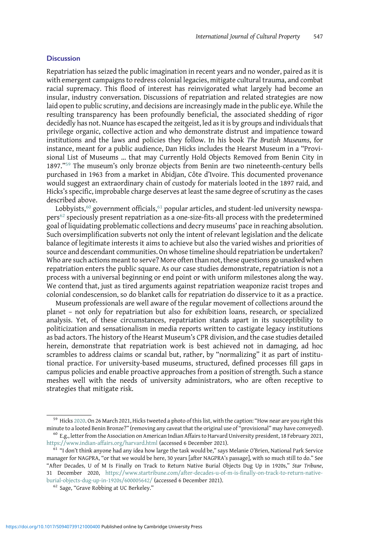#### **Discussion**

Repatriation has seized the public imagination in recent years and no wonder, paired as it is with emergent campaigns to redress colonial legacies, mitigate cultural trauma, and combat racial supremacy. This flood of interest has reinvigorated what largely had become an insular, industry conversation. Discussions of repatriation and related strategies are now laid open to public scrutiny, and decisions are increasingly made in the public eye. While the resulting transparency has been profoundly beneficial, the associated shedding of rigor decidedly has not. Nuance has escaped the zeitgeist, led as it is by groups and individuals that privilege organic, collective action and who demonstrate distrust and impatience toward institutions and the laws and policies they follow. In his book The Brutish Museums, for instance, meant for a public audience, Dan Hicks includes the Hearst Museum in a "Provisional List of Museums … that may Currently Hold Objects Removed from Benin City in 1897."<sup>59</sup> The museum's only bronze objects from Benin are two nineteenth-century bells purchased in 1963 from a market in Abidjan, Côte d'Ivoire. This documented provenance would suggest an extraordinary chain of custody for materials looted in the 1897 raid, and Hicks's specific, improbable charge deserves at least the same degree of scrutiny as the cases described above.

Lobbyists, $60$  government officials, $61$  popular articles, and student-led university newspapers<sup>62</sup> speciously present repatriation as a one-size-fits-all process with the predetermined goal of liquidating problematic collections and decry museums' pace in reaching absolution. Such oversimplification subverts not only the intent of relevant legislation and the delicate balance of legitimate interests it aims to achieve but also the varied wishes and priorities of source and descendant communities. On whose timeline should repatriation be undertaken? Who are such actions meant to serve? More often than not, these questions go unasked when repatriation enters the public square. As our case studies demonstrate, repatriation is not a process with a universal beginning or end point or with uniform milestones along the way. We contend that, just as tired arguments against repatriation weaponize racist tropes and colonial condescension, so do blanket calls for repatriation do disservice to it as a practice.

Museum professionals are well aware of the regular movement of collections around the planet – not only for repatriation but also for exhibition loans, research, or specialized analysis. Yet, of these circumstances, repatriation stands apart in its susceptibility to politicization and sensationalism in media reports written to castigate legacy institutions as bad actors. The history of the Hearst Museum's CPR division, and the case studies detailed herein, demonstrate that repatriation work is best achieved not in damaging, ad hoc scrambles to address claims or scandal but, rather, by "normalizing" it as part of institutional practice. For university-based museums, structured, defined processes fill gaps in campus policies and enable proactive approaches from a position of strength. Such a stance meshes well with the needs of university administrators, who are often receptive to strategies that mitigate risk.

<sup>&</sup>lt;sup>59</sup> Hicks [2020.](#page-18-0) On 26 March 2021, Hicks tweeted a photo of this list, with the caption: "How near are you right this minute to a looted Benin Bronze?" (removing any caveat that the original use of "provisional" may have conveyed).<br><sup>60</sup> E.g., letter from the Association on American Indian Affairs to Harvard University president, 18 Februa

<https://www.indian-affairs.org/harvard.html> (accessed 6 December 2021). <sup>61</sup> "I don't think anyone had any idea how large the task would be," says Melanie O'Brien, National Park Service

manager for NAGPRA, "or that we would be here, 30 years [after NAGPRA's passage], with so much still to do." See "After Decades, U of M Is Finally on Track to Return Native Burial Objects Dug Up in 1920s," Star Tribune, 31 December 2020, [https://www.startribune.com/after-decades-u-of-m-is-finally-on-track-to-return-native](https://www.startribune.com/after-decades-u-of-m-is-finally-on-track-to-return-native-burial-objects-dug-up-in-1920s/600005642/)[burial-objects-dug-up-in-1920s/600005642/](https://www.startribune.com/after-decades-u-of-m-is-finally-on-track-to-return-native-burial-objects-dug-up-in-1920s/600005642/) (accessed 6 December 2021). <sup>62</sup> Sage, "Grave Robbing at UC Berkeley."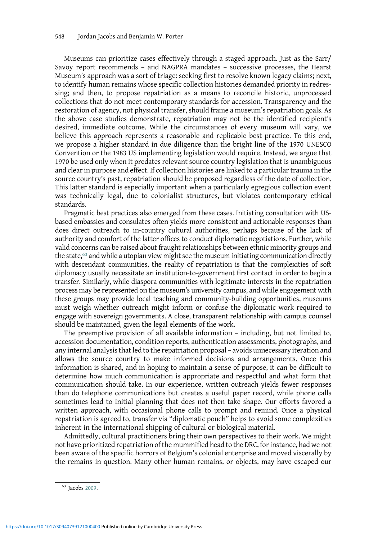Museums can prioritize cases effectively through a staged approach. Just as the Sarr/ Savoy report recommends – and NAGPRA mandates – successive processes, the Hearst Museum's approach was a sort of triage: seeking first to resolve known legacy claims; next, to identify human remains whose specific collection histories demanded priority in redressing; and then, to propose repatriation as a means to reconcile historic, unprocessed collections that do not meet contemporary standards for accession. Transparency and the restoration of agency, not physical transfer, should frame a museum's repatriation goals. As the above case studies demonstrate, repatriation may not be the identified recipient's desired, immediate outcome. While the circumstances of every museum will vary, we believe this approach represents a reasonable and replicable best practice. To this end, we propose a higher standard in due diligence than the bright line of the 1970 UNESCO Convention or the 1983 US implementing legislation would require. Instead, we argue that 1970 be used only when it predates relevant source country legislation that is unambiguous and clear in purpose and effect. If collection histories are linked to a particular trauma in the source country's past, repatriation should be proposed regardless of the date of collection. This latter standard is especially important when a particularly egregious collection event was technically legal, due to colonialist structures, but violates contemporary ethical standards.

Pragmatic best practices also emerged from these cases. Initiating consultation with USbased embassies and consulates often yields more consistent and actionable responses than does direct outreach to in-country cultural authorities, perhaps because of the lack of authority and comfort of the latter offices to conduct diplomatic negotiations. Further, while valid concerns can be raised about fraught relationships between ethnic minority groups and the state, $63$  and while a utopian view might see the museum initiating communication directly with descendant communities, the reality of repatriation is that the complexities of soft diplomacy usually necessitate an institution-to-government first contact in order to begin a transfer. Similarly, while diaspora communities with legitimate interests in the repatriation process may be represented on the museum's university campus, and while engagement with these groups may provide local teaching and community-building opportunities, museums must weigh whether outreach might inform or confuse the diplomatic work required to engage with sovereign governments. A close, transparent relationship with campus counsel should be maintained, given the legal elements of the work.

The preemptive provision of all available information – including, but not limited to, accession documentation, condition reports, authentication assessments, photographs, and any internal analysis that led to the repatriation proposal – avoids unnecessary iteration and allows the source country to make informed decisions and arrangements. Once this information is shared, and in hoping to maintain a sense of purpose, it can be difficult to determine how much communication is appropriate and respectful and what form that communication should take. In our experience, written outreach yields fewer responses than do telephone communications but creates a useful paper record, while phone calls sometimes lead to initial planning that does not then take shape. Our efforts favored a written approach, with occasional phone calls to prompt and remind. Once a physical repatriation is agreed to, transfer via "diplomatic pouch" helps to avoid some complexities inherent in the international shipping of cultural or biological material.

Admittedly, cultural practitioners bring their own perspectives to their work. We might not have prioritized repatriation of the mummified head to the DRC, for instance, had we not been aware of the specific horrors of Belgium's colonial enterprise and moved viscerally by the remains in question. Many other human remains, or objects, may have escaped our

<sup>63</sup> Jacobs [2009.](#page-18-0)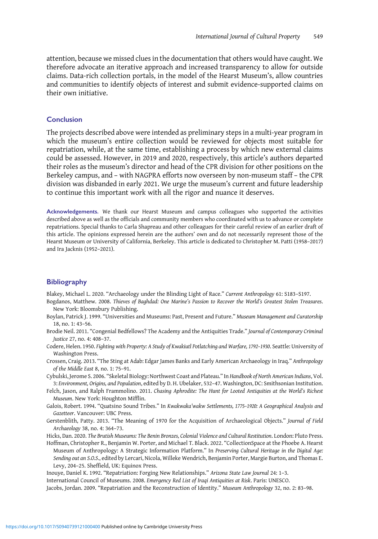<span id="page-18-0"></span>attention, because we missed clues in the documentation that others would have caught. We therefore advocate an iterative approach and increased transparency to allow for outside claims. Data-rich collection portals, in the model of the Hearst Museum's, allow countries and communities to identify objects of interest and submit evidence-supported claims on their own initiative.

# Conclusion

The projects described above were intended as preliminary steps in a multi-year program in which the museum's entire collection would be reviewed for objects most suitable for repatriation, while, at the same time, establishing a process by which new external claims could be assessed. However, in 2019 and 2020, respectively, this article's authors departed their roles as the museum's director and head of the CPR division for other positions on the Berkeley campus, and – with NAGPRA efforts now overseen by non-museum staff – the CPR division was disbanded in early 2021. We urge the museum's current and future leadership to continue this important work with all the rigor and nuance it deserves.

Acknowledgements. We thank our Hearst Museum and campus colleagues who supported the activities described above as well as the officials and community members who coordinated with us to advance or complete repatriations. Special thanks to Carla Shapreau and other colleagues for their careful review of an earlier draft of this article. The opinions expressed herein are the authors' own and do not necessarily represent those of the Hearst Museum or University of California, Berkeley. This article is dedicated to Christopher M. Patti (1958–2017) and Ira Jacknis (1952–2021).

#### **Bibliography**

Blakey, Michael L. 2020. "Archaeology under the Blinding Light of Race." Current Anthropology 61: S183–S197.

- Bogdanos, Matthew. 2008. Thieves of Baghdad: One Marine's Passion to Recover the World's Greatest Stolen Treasures. New York: Bloomsbury Publishing.
- Boylan, Patrick J. 1999. "Universities and Museums: Past, Present and Future." Museum Management and Curatorship 18, no. 1: 43–56.
- Brodie Neil. 2011. "Congenial Bedfellows? The Academy and the Antiquities Trade." Journal of Contemporary Criminal Justice 27, no. 4: 408–37.
- Codere, Helen. 1950. Fighting with Property: A Study of Kwakiutl Potlatching and Warfare, 1792–1930. Seattle: University of Washington Press.
- Crossen, Craig. 2013. "The Sting at Adab: Edgar James Banks and Early American Archaeology in Iraq." Anthropology of the Middle East 8, no. 1: 75–91.
- Cybulski, Jerome S. 2006. "Skeletal Biology: Northwest Coast and Plateau." In Handbook of North American Indians, Vol. 3: Environment, Origins, and Population, edited by D. H. Ubelaker, 532–47. Washington, DC: Smithsonian Institution.
- Felch, Jason, and Ralph Frammolino. 2011. Chasing Aphrodite: The Hunt for Looted Antiquities at the World's Richest Museum. New York: Houghton Mifflin.
- Galois, Robert. 1994. "Quatsino Sound Tribes." In Kwakwaka'wakw Settlements, 1775–1920: A Geographical Analysis and Gazetteer. Vancouver: UBC Press.
- Gerstenblith, Patty. 2013. "The Meaning of 1970 for the Acquisition of Archaeological Objects." Journal of Field Archaeology 38, no. 4: 364–73.

Hicks, Dan. 2020. The Brutish Museums: The Benin Bronzes, Colonial Violence and Cultural Restitution. London: Pluto Press.

Hoffman, Christopher R., Benjamin W. Porter, and Michael T. Black. 2022. "CollectionSpace at the Phoebe A. Hearst Museum of Anthropology: A Strategic Information Platform." In Preserving Cultural Heritage in the Digital Age: Sending out an S.O.S., edited by Lercari, Nicola, Willeke Wendrich, Benjamin Porter, Margie Burton, and Thomas E. Levy, 204–25. Sheffield, UK: Equinox Press.

Inouye, Daniel K. 1992. "Repatriation: Forging New Relationships." Arizona State Law Journal 24: 1–3. International Council of Museums. 2008. Emergency Red List of Iraqi Antiquities at Risk. Paris: UNESCO.

Jacobs, Jordan. 2009. "Repatriation and the Reconstruction of Identity." Museum Anthropology 32, no. 2: 83–98.